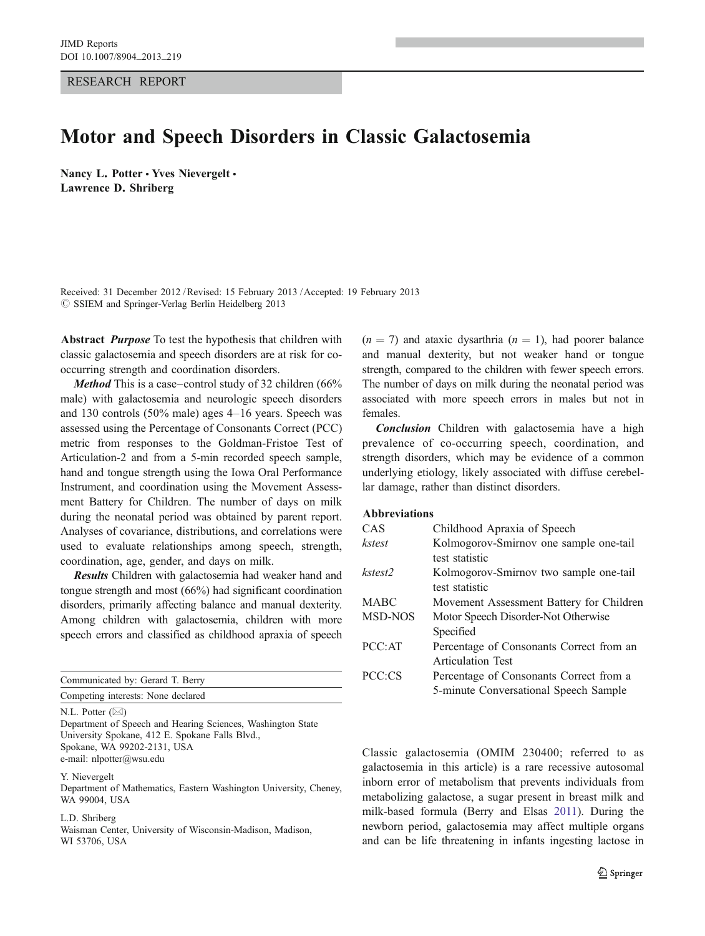RESEARCH REPORT

# Motor and Speech Disorders in Classic Galactosemia

Nancy L. Potter • Yves Nievergelt • Lawrence D. Shriberg

Received: 31 December 2012 /Revised: 15 February 2013 /Accepted: 19 February 2013  $\oslash$  SSIEM and Springer-Verlag Berlin Heidelberg 2013

Abstract *Purpose* To test the hypothesis that children with classic galactosemia and speech disorders are at risk for cooccurring strength and coordination disorders.

Method This is a case–control study of 32 children (66%) male) with galactosemia and neurologic speech disorders and 130 controls (50% male) ages 4–16 years. Speech was assessed using the Percentage of Consonants Correct (PCC) metric from responses to the Goldman-Fristoe Test of Articulation-2 and from a 5-min recorded speech sample, hand and tongue strength using the Iowa Oral Performance Instrument, and coordination using the Movement Assessment Battery for Children. The number of days on milk during the neonatal period was obtained by parent report. Analyses of covariance, distributions, and correlations were used to evaluate relationships among speech, strength, coordination, age, gender, and days on milk.

Results Children with galactosemia had weaker hand and tongue strength and most (66%) had significant coordination disorders, primarily affecting balance and manual dexterity. Among children with galactosemia, children with more speech errors and classified as childhood apraxia of speech

| Communicated by: Gerard T. Berry                                                                                                                                                                       |
|--------------------------------------------------------------------------------------------------------------------------------------------------------------------------------------------------------|
| Competing interests: None declared                                                                                                                                                                     |
| N.L. Potter $(\boxtimes)$<br>Department of Speech and Hearing Sciences, Washington State<br>University Spokane, 412 E. Spokane Falls Blvd.,<br>Spokane, WA 99202-2131, USA<br>e-mail: nlpotter@wsu.edu |

#### Y. Nievergelt

Department of Mathematics, Eastern Washington University, Cheney, WA 99004, USA

L.D. Shriberg

Waisman Center, University of Wisconsin-Madison, Madison, WI 53706, USA

 $(n = 7)$  and ataxic dysarthria  $(n = 1)$ , had poorer balance and manual dexterity, but not weaker hand or tongue strength, compared to the children with fewer speech errors. The number of days on milk during the neonatal period was associated with more speech errors in males but not in females.

Conclusion Children with galactosemia have a high prevalence of co-occurring speech, coordination, and strength disorders, which may be evidence of a common underlying etiology, likely associated with diffuse cerebellar damage, rather than distinct disorders.

#### Abbreviations

| CAS            | Childhood Apraxia of Speech              |  |  |  |  |
|----------------|------------------------------------------|--|--|--|--|
| kstest         | Kolmogorov-Smirnov one sample one-tail   |  |  |  |  |
|                | test statistic                           |  |  |  |  |
| kstest2        | Kolmogorov-Smirnov two sample one-tail   |  |  |  |  |
|                | test statistic                           |  |  |  |  |
| <b>MABC</b>    | Movement Assessment Battery for Children |  |  |  |  |
| <b>MSD-NOS</b> | Motor Speech Disorder-Not Otherwise      |  |  |  |  |
|                | Specified                                |  |  |  |  |
| PCC:AT         | Percentage of Consonants Correct from an |  |  |  |  |
|                | <b>Articulation Test</b>                 |  |  |  |  |
| PCC:CS         | Percentage of Consonants Correct from a  |  |  |  |  |
|                | 5-minute Conversational Speech Sample    |  |  |  |  |
|                |                                          |  |  |  |  |

Classic galactosemia (OMIM 230400; referred to as galactosemia in this article) is a rare recessive autosomal inborn error of metabolism that prevents individuals from metabolizing galactose, a sugar present in breast milk and milk-based formula (Berry and Elsas [2011\)](#page-9-0). During the newborn period, galactosemia may affect multiple organs and can be life threatening in infants ingesting lactose in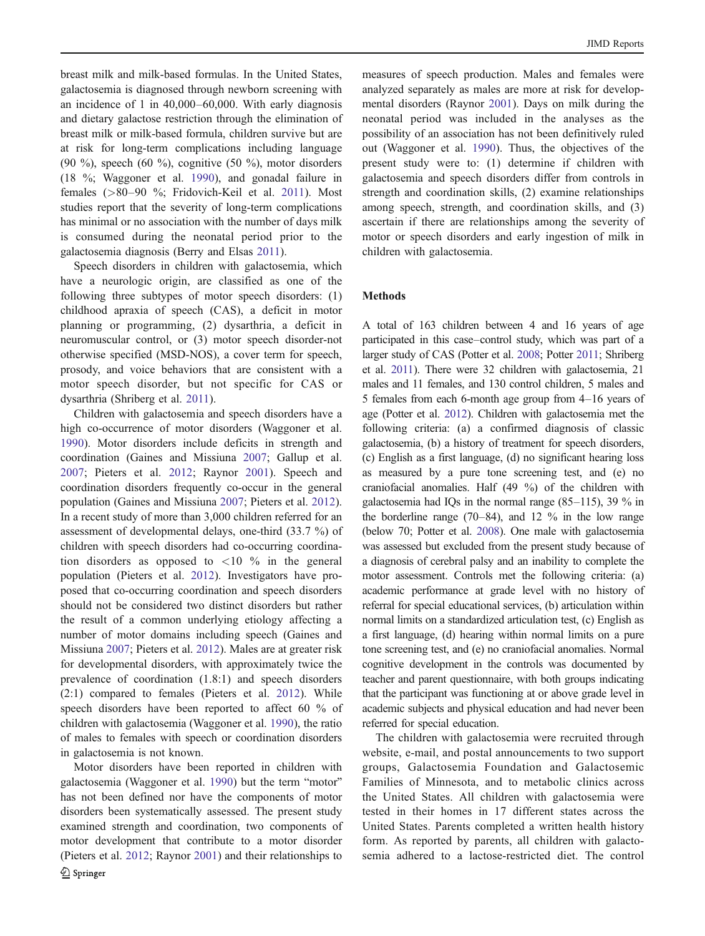breast milk and milk-based formulas. In the United States, galactosemia is diagnosed through newborn screening with an incidence of 1 in 40,000–60,000. With early diagnosis and dietary galactose restriction through the elimination of breast milk or milk-based formula, children survive but are at risk for long-term complications including language (90 %), speech (60 %), cognitive (50 %), motor disorders (18 %; Waggoner et al. [1990](#page-10-0)), and gonadal failure in females (>80–90 %; Fridovich-Keil et al. [2011](#page-9-0)). Most studies report that the severity of long-term complications has minimal or no association with the number of days milk is consumed during the neonatal period prior to the galactosemia diagnosis (Berry and Elsas [2011\)](#page-9-0).

Speech disorders in children with galactosemia, which have a neurologic origin, are classified as one of the following three subtypes of motor speech disorders: (1) childhood apraxia of speech (CAS), a deficit in motor planning or programming, (2) dysarthria, a deficit in neuromuscular control, or (3) motor speech disorder-not otherwise specified (MSD-NOS), a cover term for speech, prosody, and voice behaviors that are consistent with a motor speech disorder, but not specific for CAS or dysarthria (Shriberg et al. [2011\)](#page-10-0).

Children with galactosemia and speech disorders have a high co-occurrence of motor disorders (Waggoner et al. [1990\)](#page-10-0). Motor disorders include deficits in strength and coordination (Gaines and Missiuna [2007](#page-9-0); Gallup et al. [2007](#page-9-0); Pieters et al. [2012;](#page-10-0) Raynor [2001\)](#page-10-0). Speech and coordination disorders frequently co-occur in the general population (Gaines and Missiuna [2007](#page-9-0); Pieters et al. [2012](#page-10-0)). In a recent study of more than 3,000 children referred for an assessment of developmental delays, one-third (33.7 %) of children with speech disorders had co-occurring coordination disorders as opposed to  $\lt 10$  % in the general population (Pieters et al. [2012](#page-10-0)). Investigators have proposed that co-occurring coordination and speech disorders should not be considered two distinct disorders but rather the result of a common underlying etiology affecting a number of motor domains including speech (Gaines and Missiuna [2007;](#page-9-0) Pieters et al. [2012\)](#page-10-0). Males are at greater risk for developmental disorders, with approximately twice the prevalence of coordination (1.8:1) and speech disorders (2:1) compared to females (Pieters et al. [2012\)](#page-10-0). While speech disorders have been reported to affect 60 % of children with galactosemia (Waggoner et al. [1990](#page-10-0)), the ratio of males to females with speech or coordination disorders in galactosemia is not known.

Motor disorders have been reported in children with galactosemia (Waggoner et al. [1990](#page-10-0)) but the term "motor" has not been defined nor have the components of motor disorders been systematically assessed. The present study examined strength and coordination, two components of motor development that contribute to a motor disorder (Pieters et al. [2012](#page-10-0); Raynor [2001\)](#page-10-0) and their relationships to  $\textcircled{2}$  Springer

measures of speech production. Males and females were analyzed separately as males are more at risk for developmental disorders (Raynor [2001](#page-10-0)). Days on milk during the neonatal period was included in the analyses as the possibility of an association has not been definitively ruled out (Waggoner et al. [1990](#page-10-0)). Thus, the objectives of the present study were to: (1) determine if children with galactosemia and speech disorders differ from controls in strength and coordination skills, (2) examine relationships among speech, strength, and coordination skills, and (3) ascertain if there are relationships among the severity of motor or speech disorders and early ingestion of milk in children with galactosemia.

## Methods

A total of 163 children between 4 and 16 years of age participated in this case–control study, which was part of a larger study of CAS (Potter et al. [2008](#page-10-0); Potter [2011](#page-10-0); Shriberg et al. [2011](#page-10-0)). There were 32 children with galactosemia, 21 males and 11 females, and 130 control children, 5 males and 5 females from each 6-month age group from 4–16 years of age (Potter et al. [2012\)](#page-10-0). Children with galactosemia met the following criteria: (a) a confirmed diagnosis of classic galactosemia, (b) a history of treatment for speech disorders, (c) English as a first language, (d) no significant hearing loss as measured by a pure tone screening test, and (e) no craniofacial anomalies. Half (49 %) of the children with galactosemia had IQs in the normal range  $(85-115)$ , 39 % in the borderline range (70–84), and 12 % in the low range (below 70; Potter et al. [2008](#page-10-0)). One male with galactosemia was assessed but excluded from the present study because of a diagnosis of cerebral palsy and an inability to complete the motor assessment. Controls met the following criteria: (a) academic performance at grade level with no history of referral for special educational services, (b) articulation within normal limits on a standardized articulation test, (c) English as a first language, (d) hearing within normal limits on a pure tone screening test, and (e) no craniofacial anomalies. Normal cognitive development in the controls was documented by teacher and parent questionnaire, with both groups indicating that the participant was functioning at or above grade level in academic subjects and physical education and had never been referred for special education.

The children with galactosemia were recruited through website, e-mail, and postal announcements to two support groups, Galactosemia Foundation and Galactosemic Families of Minnesota, and to metabolic clinics across the United States. All children with galactosemia were tested in their homes in 17 different states across the United States. Parents completed a written health history form. As reported by parents, all children with galactosemia adhered to a lactose-restricted diet. The control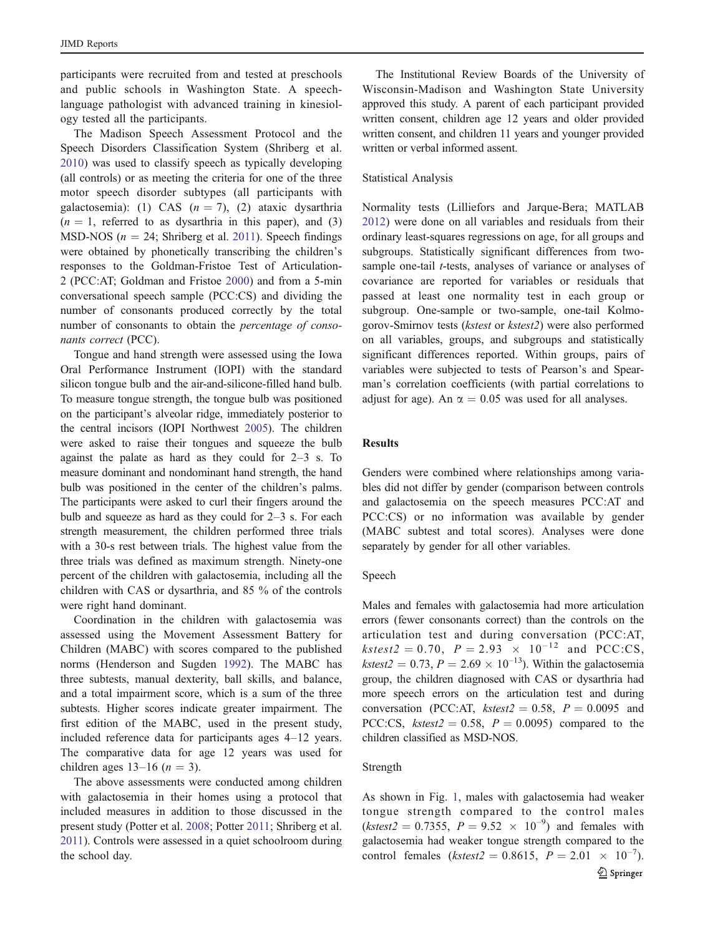participants were recruited from and tested at preschools and public schools in Washington State. A speechlanguage pathologist with advanced training in kinesiology tested all the participants.

The Madison Speech Assessment Protocol and the Speech Disorders Classification System (Shriberg et al. [2010\)](#page-10-0) was used to classify speech as typically developing (all controls) or as meeting the criteria for one of the three motor speech disorder subtypes (all participants with galactosemia): (1) CAS  $(n = 7)$ , (2) ataxic dysarthria  $(n = 1,$  referred to as dysarthria in this paper), and (3) MSD-NOS ( $n = 24$ ; Shriberg et al. [2011](#page-10-0)). Speech findings were obtained by phonetically transcribing the children's responses to the Goldman-Fristoe Test of Articulation-2 (PCC:AT; Goldman and Fristoe [2000\)](#page-10-0) and from a 5-min conversational speech sample (PCC:CS) and dividing the number of consonants produced correctly by the total number of consonants to obtain the percentage of consonants correct (PCC).

Tongue and hand strength were assessed using the Iowa Oral Performance Instrument (IOPI) with the standard silicon tongue bulb and the air-and-silicone-filled hand bulb. To measure tongue strength, the tongue bulb was positioned on the participant's alveolar ridge, immediately posterior to the central incisors (IOPI Northwest [2005](#page-10-0)). The children were asked to raise their tongues and squeeze the bulb against the palate as hard as they could for  $2-3$  s. To measure dominant and nondominant hand strength, the hand bulb was positioned in the center of the children's palms. The participants were asked to curl their fingers around the bulb and squeeze as hard as they could for 2–3 s. For each strength measurement, the children performed three trials with a 30-s rest between trials. The highest value from the three trials was defined as maximum strength. Ninety-one percent of the children with galactosemia, including all the children with CAS or dysarthria, and 85 % of the controls were right hand dominant.

Coordination in the children with galactosemia was assessed using the Movement Assessment Battery for Children (MABC) with scores compared to the published norms (Henderson and Sugden [1992\)](#page-10-0). The MABC has three subtests, manual dexterity, ball skills, and balance, and a total impairment score, which is a sum of the three subtests. Higher scores indicate greater impairment. The first edition of the MABC, used in the present study, included reference data for participants ages 4–12 years. The comparative data for age 12 years was used for children ages  $13-16$  ( $n = 3$ ).

The above assessments were conducted among children with galactosemia in their homes using a protocol that included measures in addition to those discussed in the present study (Potter et al. [2008](#page-10-0); Potter [2011](#page-10-0); Shriberg et al. [2011\)](#page-10-0). Controls were assessed in a quiet schoolroom during the school day.

The Institutional Review Boards of the University of Wisconsin-Madison and Washington State University approved this study. A parent of each participant provided written consent, children age 12 years and older provided written consent, and children 11 years and younger provided written or verbal informed assent.

#### Statistical Analysis

Normality tests (Lilliefors and Jarque-Bera; MATLAB [2012](#page-10-0)) were done on all variables and residuals from their ordinary least-squares regressions on age, for all groups and subgroups. Statistically significant differences from twosample one-tail *t*-tests, analyses of variance or analyses of covariance are reported for variables or residuals that passed at least one normality test in each group or subgroup. One-sample or two-sample, one-tail Kolmogorov-Smirnov tests (kstest or kstest2) were also performed on all variables, groups, and subgroups and statistically significant differences reported. Within groups, pairs of variables were subjected to tests of Pearson's and Spearman's correlation coefficients (with partial correlations to adjust for age). An  $\alpha = 0.05$  was used for all analyses.

## Results

Genders were combined where relationships among variables did not differ by gender (comparison between controls and galactosemia on the speech measures PCC:AT and PCC:CS) or no information was available by gender (MABC subtest and total scores). Analyses were done separately by gender for all other variables.

### Speech

Males and females with galactosemia had more articulation errors (fewer consonants correct) than the controls on the articulation test and during conversation (PCC:AT,  $kstest2 = 0.70$ ,  $P = 2.93 \times 10^{-12}$  and PCC:CS,<br>  $kstest2 = 0.73$ ,  $P = 2.69 \times 10^{-13}$ . Within the galactosemia kstest2 = 0.73,  $P = 2.69 \times 10^{-13}$ . Within the galactosemia<br>group, the children diagnosed with CAS or dysarthria had group, the children diagnosed with CAS or dysarthria had more speech errors on the articulation test and during conversation (PCC:AT,  $k \cdot t = 0.58$ ,  $P = 0.0095$  and PCC:CS,  $k \cdot \text{stest2} = 0.58$ ,  $P = 0.0095$ ) compared to the children classified as MSD-NOS.

## Strength

As shown in Fig. [1](#page-3-0), males with galactosemia had weaker tongue strength compared to the control males (*kstest2* = 0.7355,  $P = 9.52 \times 10^{-9}$ ) and females with galactosemia had weaker tongue strength compared to the galactosemia had weaker tongue strength compared to the control females ( $kstest2 = 0.8615$ ,  $P = 2.01 \times 10^{-7}$ ).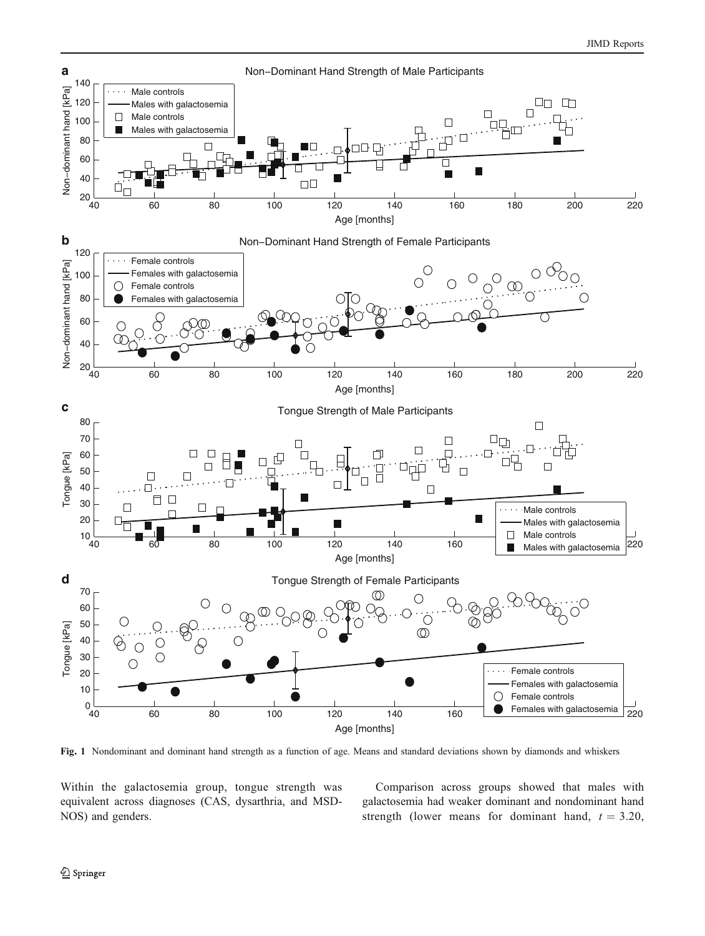<span id="page-3-0"></span>

Fig. 1 Nondominant and dominant hand strength as a function of age. Means and standard deviations shown by diamonds and whiskers

Within the galactosemia group, tongue strength was equivalent across diagnoses (CAS, dysarthria, and MSD-NOS) and genders.

Comparison across groups showed that males with galactosemia had weaker dominant and nondominant hand strength (lower means for dominant hand,  $t = 3.20$ ,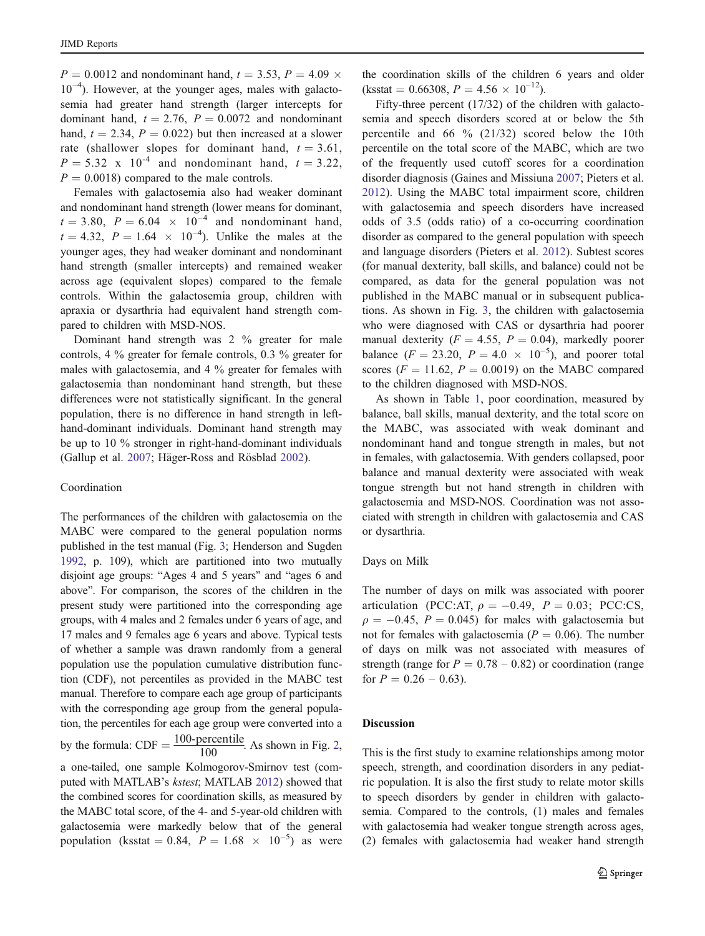$P = 0.0012$  and nondominant hand,  $t = 3.53$ ,  $P = 4.09 \times 10^{-4}$ . However, at the younger ages, males with galacteristic 10–<sup>4</sup> ). However, at the younger ages, males with galactosemia had greater hand strength (larger intercepts for dominant hand,  $t = 2.76$ ,  $P = 0.0072$  and nondominant hand,  $t = 2.34$ ,  $P = 0.022$ ) but then increased at a slower rate (shallower slopes for dominant hand,  $t = 3.61$ ,  $P = 5.32$  x  $10^{-4}$  and nondominant hand,  $t = 3.22$ ,  $P = 0.0018$  compared to the male controls.

Females with galactosemia also had weaker dominant and nondominant hand strength (lower means for dominant,  $t = 3.80, P = 6.04 \times 10^{-4}$  and nondominant hand,<br> $t = 4.32, P = 1.64 \times 10^{-4}$ . Unlike the males at the  $t = 4.32$ ,  $P = 1.64 \times 10^{-4}$ ). Unlike the males at the volument ages they had weaker dominant and pondominant younger ages, they had weaker dominant and nondominant hand strength (smaller intercepts) and remained weaker across age (equivalent slopes) compared to the female controls. Within the galactosemia group, children with apraxia or dysarthria had equivalent hand strength compared to children with MSD-NOS.

Dominant hand strength was 2 % greater for male controls, 4 % greater for female controls, 0.3 % greater for males with galactosemia, and 4 % greater for females with galactosemia than nondominant hand strength, but these differences were not statistically significant. In the general population, there is no difference in hand strength in lefthand-dominant individuals. Dominant hand strength may be up to 10 % stronger in right-hand-dominant individuals (Gallup et al. [2007;](#page-9-0) Häger-Ross and Rösblad [2002\)](#page-10-0).

### Coordination

The performances of the children with galactosemia on the MABC were compared to the general population norms published in the test manual (Fig. [3;](#page-6-0) Henderson and Sugden [1992,](#page-10-0) p. 109), which are partitioned into two mutually disjoint age groups: "Ages 4 and 5 years" and "ages 6 and above". For comparison, the scores of the children in the present study were partitioned into the corresponding age groups, with 4 males and 2 females under 6 years of age, and 17 males and 9 females age 6 years and above. Typical tests of whether a sample was drawn randomly from a general population use the population cumulative distribution function (CDF), not percentiles as provided in the MABC test manual. Therefore to compare each age group of participants with the corresponding age group from the general population, the percentiles for each age group were converted into a by the formula:  $CDF = \frac{100\text{-percentile}}{100}$ . As shown in Fig. [2,](#page-5-0)

a one-tailed, one sample Kolmogorov-Smirnov test (computed with MATLAB'<sup>s</sup> kstest; MATLAB [2012\)](#page-10-0) showed that the combined scores for coordination skills, as measured by the MABC total score, of the 4- and 5-year-old children with galactosemia were markedly below that of the general population (ksstat = 0.84,  $P = 1.68 \times 10^{-5}$ ) as were

the coordination skills of the children 6 years and older (ksstat = 0.66308,  $P = 4.56 \times 10^{-12}$ ).<br>Fifty three percent (17/32) of the c

Fifty-three percent (17/32) of the children with galactosemia and speech disorders scored at or below the 5th percentile and 66 % (21/32) scored below the 10th percentile on the total score of the MABC, which are two of the frequently used cutoff scores for a coordination disorder diagnosis (Gaines and Missiuna [2007](#page-9-0); Pieters et al. [2012](#page-10-0)). Using the MABC total impairment score, children with galactosemia and speech disorders have increased odds of 3.5 (odds ratio) of a co-occurring coordination disorder as compared to the general population with speech and language disorders (Pieters et al. [2012](#page-10-0)). Subtest scores (for manual dexterity, ball skills, and balance) could not be compared, as data for the general population was not published in the MABC manual or in subsequent publications. As shown in Fig. [3,](#page-6-0) the children with galactosemia who were diagnosed with CAS or dysarthria had poorer manual dexterity ( $F = 4.55$ ,  $P = 0.04$ ), markedly poorer balance  $(F = 23.20, P = 4.0 \times 10^{-5})$ , and poorer total<br>scores  $(F = 11.62, P = 0.0019)$  on the MARC compared scores ( $F = 11.62$ ,  $P = 0.0019$ ) on the MABC compared to the children diagnosed with MSD-NOS.

As shown in Table [1](#page-7-0), poor coordination, measured by balance, ball skills, manual dexterity, and the total score on the MABC, was associated with weak dominant and nondominant hand and tongue strength in males, but not in females, with galactosemia. With genders collapsed, poor balance and manual dexterity were associated with weak tongue strength but not hand strength in children with galactosemia and MSD-NOS. Coordination was not associated with strength in children with galactosemia and CAS or dysarthria.

## Days on Milk

The number of days on milk was associated with poorer articulation (PCC:AT,  $\rho = -0.49$ ,  $P = 0.03$ ; PCC:CS,  $\rho = -0.45$ ,  $P = 0.045$ ) for males with galactosemia but not for females with galactosemia ( $P = 0.06$ ). The number of days on milk was not associated with measures of strength (range for  $P = 0.78 - 0.82$ ) or coordination (range for  $P = 0.26 - 0.63$ ).

#### Discussion

This is the first study to examine relationships among motor speech, strength, and coordination disorders in any pediatric population. It is also the first study to relate motor skills to speech disorders by gender in children with galactosemia. Compared to the controls, (1) males and females with galactosemia had weaker tongue strength across ages, (2) females with galactosemia had weaker hand strength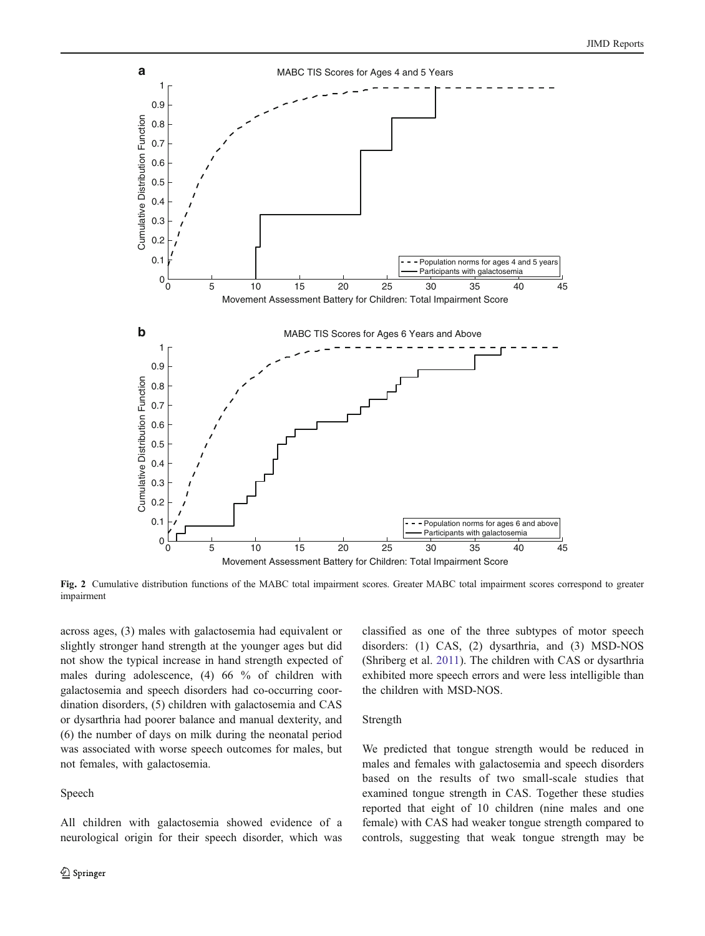<span id="page-5-0"></span>

Fig. 2 Cumulative distribution functions of the MABC total impairment scores. Greater MABC total impairment scores correspond to greater impairment

across ages, (3) males with galactosemia had equivalent or slightly stronger hand strength at the younger ages but did not show the typical increase in hand strength expected of males during adolescence, (4) 66 % of children with galactosemia and speech disorders had co-occurring coordination disorders, (5) children with galactosemia and CAS or dysarthria had poorer balance and manual dexterity, and (6) the number of days on milk during the neonatal period was associated with worse speech outcomes for males, but not females, with galactosemia.

## Speech

All children with galactosemia showed evidence of a neurological origin for their speech disorder, which was classified as one of the three subtypes of motor speech disorders: (1) CAS, (2) dysarthria, and (3) MSD-NOS (Shriberg et al. [2011](#page-10-0)). The children with CAS or dysarthria exhibited more speech errors and were less intelligible than the children with MSD-NOS.

#### Strength

We predicted that tongue strength would be reduced in males and females with galactosemia and speech disorders based on the results of two small-scale studies that examined tongue strength in CAS. Together these studies reported that eight of 10 children (nine males and one female) with CAS had weaker tongue strength compared to controls, suggesting that weak tongue strength may be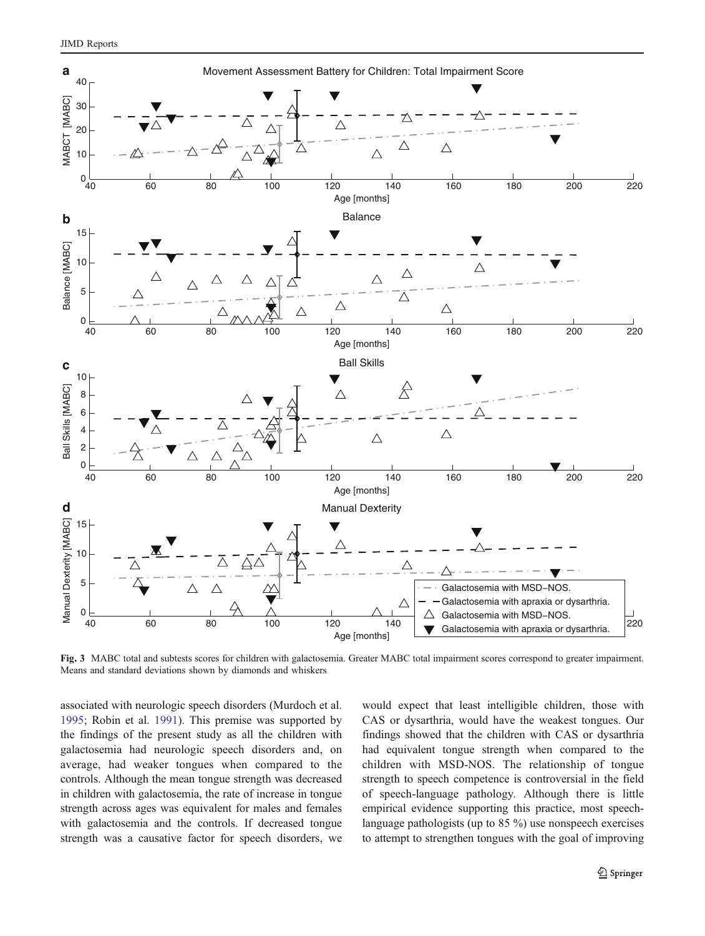<span id="page-6-0"></span>

Fig. 3 MABC total and subtests scores for children with galactosemia. Greater MABC total impairment scores correspond to greater impairment. Means and standard deviations shown by diamonds and whiskers

associated with neurologic speech disorders (Murdoch et al. [1995;](#page-10-0) Robin et al. [1991](#page-10-0)). This premise was supported by the findings of the present study as all the children with galactosemia had neurologic speech disorders and, on average, had weaker tongues when compared to the controls. Although the mean tongue strength was decreased in children with galactosemia, the rate of increase in tongue strength across ages was equivalent for males and females with galactosemia and the controls. If decreased tongue strength was a causative factor for speech disorders, we would expect that least intelligible children, those with CAS or dysarthria, would have the weakest tongues. Our findings showed that the children with CAS or dysarthria had equivalent tongue strength when compared to the children with MSD-NOS. The relationship of tongue strength to speech competence is controversial in the field of speech-language pathology. Although there is little empirical evidence supporting this practice, most speechlanguage pathologists (up to 85 %) use nonspeech exercises to attempt to strengthen tongues with the goal of improving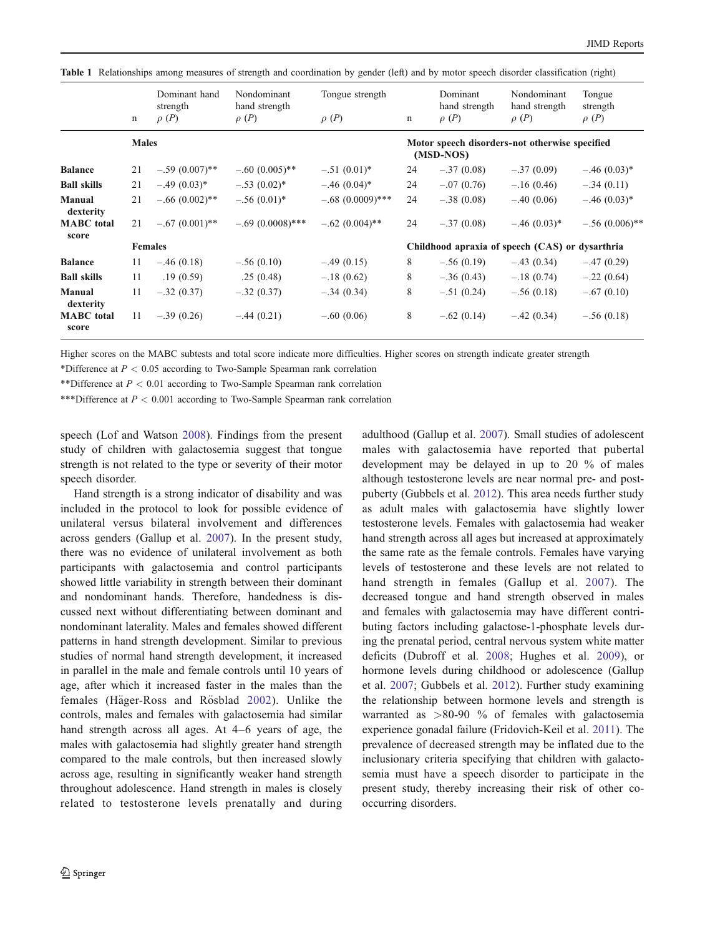<span id="page-7-0"></span>Table 1 Relationships among measures of strength and coordination by gender (left) and by motor speech disorder classification (right)

|                            | $\mathbf n$    | Dominant hand<br>strength<br>$\rho(P)$ | Nondominant<br>hand strength<br>$\rho(P)$ | Tongue strength<br>$\rho(P)$ | n                                                           | Dominant<br>hand strength<br>$\rho(P)$ | Nondominant<br>hand strength<br>$\rho(P)$ | Tongue<br>strength<br>$\rho(P)$ |
|----------------------------|----------------|----------------------------------------|-------------------------------------------|------------------------------|-------------------------------------------------------------|----------------------------------------|-------------------------------------------|---------------------------------|
|                            | <b>Males</b>   |                                        |                                           |                              | Motor speech disorders-not otherwise specified<br>(MSD-NOS) |                                        |                                           |                                 |
| <b>Balance</b>             | 21             | $-.59(0.007)$ **                       | $-.60(0.005)$ **                          | $-.51(0.01)^*$               | 24                                                          | $-.37(0.08)$                           | $-.37(0.09)$                              | $-.46(0.03)*$                   |
| <b>Ball skills</b>         | 21             | $-.49(0.03)*$                          | $-.53(0.02)*$                             | $-.46(0.04)$ *               | 24                                                          | $-.07(0.76)$                           | $-.16(0.46)$                              | $-.34(0.11)$                    |
| <b>Manual</b><br>dexterity | 21             | $-.66(0.002)$ **                       | $-.56(0.01)*$                             | $-.68(0.0009)$ ***           | 24                                                          | $-.38(0.08)$                           | $-.40(0.06)$                              | $-.46(0.03)*$                   |
| <b>MABC</b> total<br>score | 21             | $-.67(0.001)$ **                       | $-.69(0.0008)$ ***                        | $-.62$ (0.004)**             | 24                                                          | $-.37(0.08)$                           | $-.46(0.03)*$                             | $-.56(0.006)$ **                |
|                            | <b>Females</b> |                                        |                                           |                              | Childhood apraxia of speech (CAS) or dysarthria             |                                        |                                           |                                 |
| <b>Balance</b>             | 11             | $-.46(0.18)$                           | $-.56(0.10)$                              | $-.49(0.15)$                 | 8                                                           | $-.56(0.19)$                           | $-.43(0.34)$                              | $-.47(0.29)$                    |
| <b>Ball skills</b>         | 11             | .19(0.59)                              | .25(0.48)                                 | $-.18(0.62)$                 | 8                                                           | $-.36(0.43)$                           | $-.18(0.74)$                              | $-.22(0.64)$                    |
| <b>Manual</b><br>dexterity | 11             | $-.32(0.37)$                           | $-.32(0.37)$                              | $-.34(0.34)$                 | 8                                                           | $-.51(0.24)$                           | $-.56(0.18)$                              | $-.67(0.10)$                    |
| <b>MABC</b> total<br>score | 11             | $-.39(0.26)$                           | $-.44(0.21)$                              | $-.60(0.06)$                 | 8                                                           | $-.62(0.14)$                           | $-.42(0.34)$                              | $-.56(0.18)$                    |

Higher scores on the MABC subtests and total score indicate more difficulties. Higher scores on strength indicate greater strength

\*Difference at  $P < 0.05$  according to Two-Sample Spearman rank correlation

\*\*Difference at  $P < 0.01$  according to Two-Sample Spearman rank correlation

\*\*\*Difference at  $P < 0.001$  according to Two-Sample Spearman rank correlation

speech (Lof and Watson [2008](#page-10-0)). Findings from the present study of children with galactosemia suggest that tongue strength is not related to the type or severity of their motor speech disorder.

Hand strength is a strong indicator of disability and was included in the protocol to look for possible evidence of unilateral versus bilateral involvement and differences across genders (Gallup et al. [2007](#page-9-0)). In the present study, there was no evidence of unilateral involvement as both participants with galactosemia and control participants showed little variability in strength between their dominant and nondominant hands. Therefore, handedness is discussed next without differentiating between dominant and nondominant laterality. Males and females showed different patterns in hand strength development. Similar to previous studies of normal hand strength development, it increased in parallel in the male and female controls until 10 years of age, after which it increased faster in the males than the females (Häger-Ross and Rösblad [2002\)](#page-10-0). Unlike the controls, males and females with galactosemia had similar hand strength across all ages. At 4–6 years of age, the males with galactosemia had slightly greater hand strength compared to the male controls, but then increased slowly across age, resulting in significantly weaker hand strength throughout adolescence. Hand strength in males is closely related to testosterone levels prenatally and during adulthood (Gallup et al. [2007](#page-9-0)). Small studies of adolescent males with galactosemia have reported that pubertal development may be delayed in up to 20 % of males although testosterone levels are near normal pre- and postpuberty (Gubbels et al. [2012](#page-10-0)). This area needs further study as adult males with galactosemia have slightly lower testosterone levels. Females with galactosemia had weaker hand strength across all ages but increased at approximately the same rate as the female controls. Females have varying levels of testosterone and these levels are not related to hand strength in females (Gallup et al. [2007\)](#page-9-0). The decreased tongue and hand strength observed in males and females with galactosemia may have different contributing factors including galactose-1-phosphate levels during the prenatal period, central nervous system white matter deficits (Dubroff et al. [2008;](#page-9-0) Hughes et al. [2009](#page-10-0)), or hormone levels during childhood or adolescence (Gallup et al. [2007;](#page-9-0) Gubbels et al. [2012\)](#page-10-0). Further study examining the relationship between hormone levels and strength is warranted as >80-90 % of females with galactosemia experience gonadal failure (Fridovich-Keil et al. [2011](#page-9-0)). The prevalence of decreased strength may be inflated due to the inclusionary criteria specifying that children with galactosemia must have a speech disorder to participate in the present study, thereby increasing their risk of other cooccurring disorders.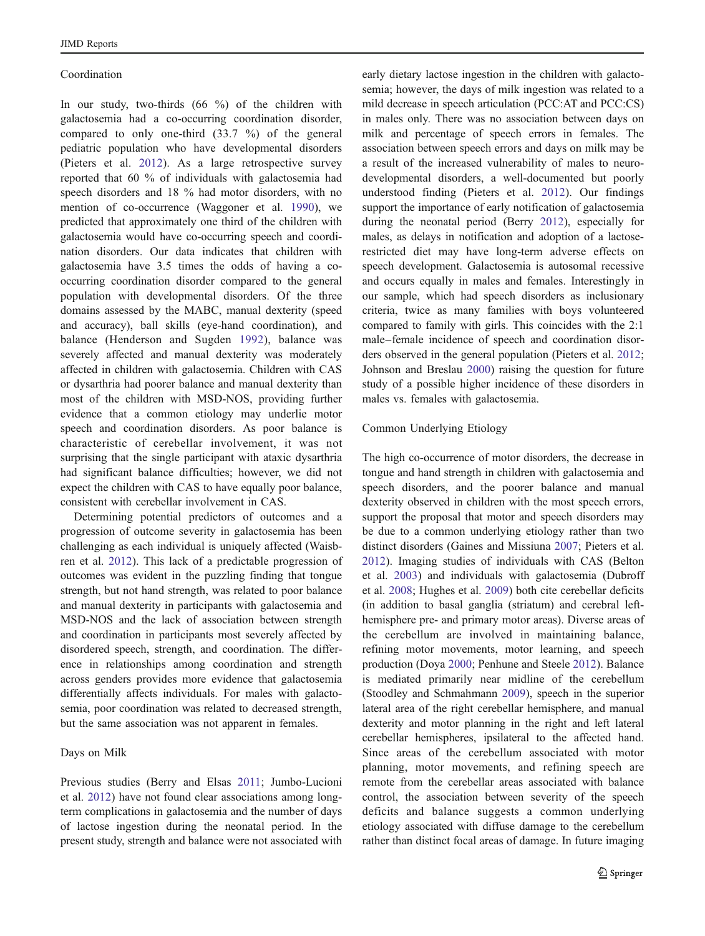#### Coordination

In our study, two-thirds (66 %) of the children with galactosemia had a co-occurring coordination disorder, compared to only one-third (33.7 %) of the general pediatric population who have developmental disorders (Pieters et al. [2012\)](#page-10-0). As a large retrospective survey reported that 60 % of individuals with galactosemia had speech disorders and 18 % had motor disorders, with no mention of co-occurrence (Waggoner et al. [1990\)](#page-10-0), we predicted that approximately one third of the children with galactosemia would have co-occurring speech and coordination disorders. Our data indicates that children with galactosemia have 3.5 times the odds of having a cooccurring coordination disorder compared to the general population with developmental disorders. Of the three domains assessed by the MABC, manual dexterity (speed and accuracy), ball skills (eye-hand coordination), and balance (Henderson and Sugden [1992\)](#page-10-0), balance was severely affected and manual dexterity was moderately affected in children with galactosemia. Children with CAS or dysarthria had poorer balance and manual dexterity than most of the children with MSD-NOS, providing further evidence that a common etiology may underlie motor speech and coordination disorders. As poor balance is characteristic of cerebellar involvement, it was not surprising that the single participant with ataxic dysarthria had significant balance difficulties; however, we did not expect the children with CAS to have equally poor balance, consistent with cerebellar involvement in CAS.

Determining potential predictors of outcomes and a progression of outcome severity in galactosemia has been challenging as each individual is uniquely affected (Waisbren et al. [2012\)](#page-10-0). This lack of a predictable progression of outcomes was evident in the puzzling finding that tongue strength, but not hand strength, was related to poor balance and manual dexterity in participants with galactosemia and MSD-NOS and the lack of association between strength and coordination in participants most severely affected by disordered speech, strength, and coordination. The difference in relationships among coordination and strength across genders provides more evidence that galactosemia differentially affects individuals. For males with galactosemia, poor coordination was related to decreased strength, but the same association was not apparent in females.

# Days on Milk

Previous studies (Berry and Elsas [2011;](#page-9-0) Jumbo-Lucioni et al. [2012](#page-10-0)) have not found clear associations among longterm complications in galactosemia and the number of days of lactose ingestion during the neonatal period. In the present study, strength and balance were not associated with

early dietary lactose ingestion in the children with galactosemia; however, the days of milk ingestion was related to a mild decrease in speech articulation (PCC:AT and PCC:CS) in males only. There was no association between days on milk and percentage of speech errors in females. The association between speech errors and days on milk may be a result of the increased vulnerability of males to neurodevelopmental disorders, a well-documented but poorly understood finding (Pieters et al. [2012\)](#page-10-0). Our findings support the importance of early notification of galactosemia during the neonatal period (Berry [2012\)](#page-9-0), especially for males, as delays in notification and adoption of a lactoserestricted diet may have long-term adverse effects on speech development. Galactosemia is autosomal recessive and occurs equally in males and females. Interestingly in our sample, which had speech disorders as inclusionary criteria, twice as many families with boys volunteered compared to family with girls. This coincides with the 2:1 male–female incidence of speech and coordination disorders observed in the general population (Pieters et al. [2012;](#page-10-0) Johnson and Breslau [2000\)](#page-10-0) raising the question for future study of a possible higher incidence of these disorders in males vs. females with galactosemia.

## Common Underlying Etiology

The high co-occurrence of motor disorders, the decrease in tongue and hand strength in children with galactosemia and speech disorders, and the poorer balance and manual dexterity observed in children with the most speech errors, support the proposal that motor and speech disorders may be due to a common underlying etiology rather than two distinct disorders (Gaines and Missiuna [2007;](#page-9-0) Pieters et al. [2012](#page-10-0)). Imaging studies of individuals with CAS (Belton et al. [2003](#page-9-0)) and individuals with galactosemia (Dubroff et al. [2008;](#page-9-0) Hughes et al. [2009\)](#page-10-0) both cite cerebellar deficits (in addition to basal ganglia (striatum) and cerebral lefthemisphere pre- and primary motor areas). Diverse areas of the cerebellum are involved in maintaining balance, refining motor movements, motor learning, and speech production (Doya [2000;](#page-9-0) Penhune and Steele [2012](#page-10-0)). Balance is mediated primarily near midline of the cerebellum (Stoodley and Schmahmann [2009](#page-10-0)), speech in the superior lateral area of the right cerebellar hemisphere, and manual dexterity and motor planning in the right and left lateral cerebellar hemispheres, ipsilateral to the affected hand. Since areas of the cerebellum associated with motor planning, motor movements, and refining speech are remote from the cerebellar areas associated with balance control, the association between severity of the speech deficits and balance suggests a common underlying etiology associated with diffuse damage to the cerebellum rather than distinct focal areas of damage. In future imaging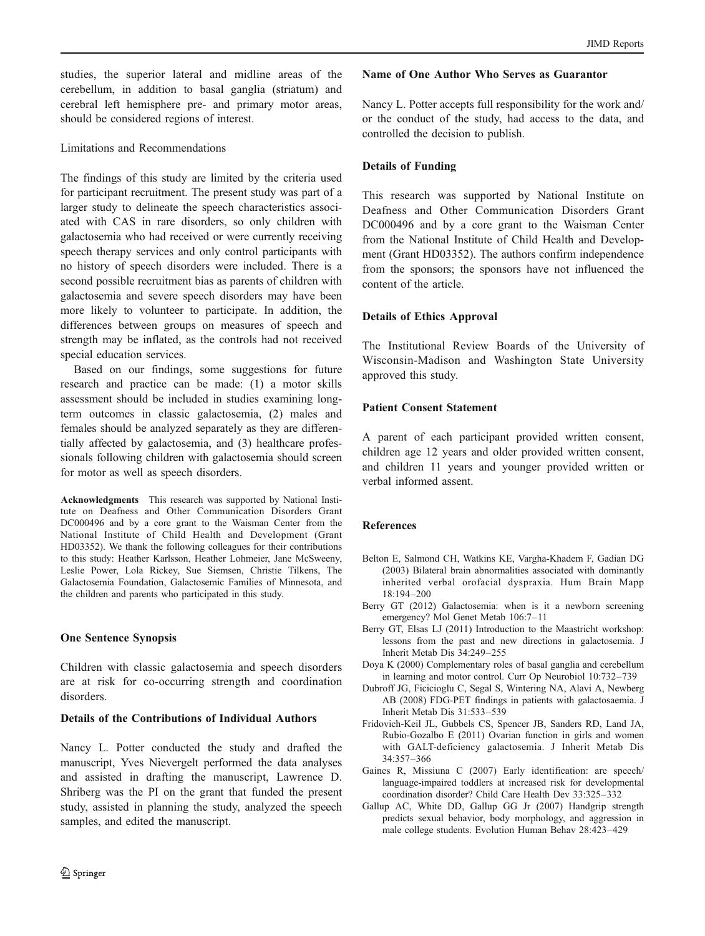<span id="page-9-0"></span>studies, the superior lateral and midline areas of the cerebellum, in addition to basal ganglia (striatum) and cerebral left hemisphere pre- and primary motor areas, should be considered regions of interest.

## Limitations and Recommendations

The findings of this study are limited by the criteria used for participant recruitment. The present study was part of a larger study to delineate the speech characteristics associated with CAS in rare disorders, so only children with galactosemia who had received or were currently receiving speech therapy services and only control participants with no history of speech disorders were included. There is a second possible recruitment bias as parents of children with galactosemia and severe speech disorders may have been more likely to volunteer to participate. In addition, the differences between groups on measures of speech and strength may be inflated, as the controls had not received special education services.

Based on our findings, some suggestions for future research and practice can be made: (1) a motor skills assessment should be included in studies examining longterm outcomes in classic galactosemia, (2) males and females should be analyzed separately as they are differentially affected by galactosemia, and (3) healthcare professionals following children with galactosemia should screen for motor as well as speech disorders.

Acknowledgments This research was supported by National Institute on Deafness and Other Communication Disorders Grant DC000496 and by a core grant to the Waisman Center from the National Institute of Child Health and Development (Grant HD03352). We thank the following colleagues for their contributions to this study: Heather Karlsson, Heather Lohmeier, Jane McSweeny, Leslie Power, Lola Rickey, Sue Siemsen, Christie Tilkens, The Galactosemia Foundation, Galactosemic Families of Minnesota, and the children and parents who participated in this study.

## One Sentence Synopsis

Children with classic galactosemia and speech disorders are at risk for co-occurring strength and coordination disorders.

# Details of the Contributions of Individual Authors

Nancy L. Potter conducted the study and drafted the manuscript, Yves Nievergelt performed the data analyses and assisted in drafting the manuscript, Lawrence D. Shriberg was the PI on the grant that funded the present study, assisted in planning the study, analyzed the speech samples, and edited the manuscript.

#### Name of One Author Who Serves as Guarantor

Nancy L. Potter accepts full responsibility for the work and/ or the conduct of the study, had access to the data, and controlled the decision to publish.

## Details of Funding

This research was supported by National Institute on Deafness and Other Communication Disorders Grant DC000496 and by a core grant to the Waisman Center from the National Institute of Child Health and Development (Grant HD03352). The authors confirm independence from the sponsors; the sponsors have not influenced the content of the article.

## Details of Ethics Approval

The Institutional Review Boards of the University of Wisconsin-Madison and Washington State University approved this study.

## Patient Consent Statement

A parent of each participant provided written consent, children age 12 years and older provided written consent, and children 11 years and younger provided written or verbal informed assent.

## References

- Belton E, Salmond CH, Watkins KE, Vargha-Khadem F, Gadian DG (2003) Bilateral brain abnormalities associated with dominantly inherited verbal orofacial dyspraxia. Hum Brain Mapp 18:194–200
- Berry GT (2012) Galactosemia: when is it a newborn screening emergency? Mol Genet Metab 106:7–11
- Berry GT, Elsas LJ (2011) Introduction to the Maastricht workshop: lessons from the past and new directions in galactosemia. J Inherit Metab Dis 34:249–255
- Doya K (2000) Complementary roles of basal ganglia and cerebellum in learning and motor control. Curr Op Neurobiol 10:732–739
- Dubroff JG, Ficicioglu C, Segal S, Wintering NA, Alavi A, Newberg AB (2008) FDG-PET findings in patients with galactosaemia. J Inherit Metab Dis 31:533–539
- Fridovich-Keil JL, Gubbels CS, Spencer JB, Sanders RD, Land JA, Rubio-Gozalbo E (2011) Ovarian function in girls and women with GALT-deficiency galactosemia. J Inherit Metab Dis 34:357–366
- Gaines R, Missiuna C (2007) Early identification: are speech/ language-impaired toddlers at increased risk for developmental coordination disorder? Child Care Health Dev 33:325–332
- Gallup AC, White DD, Gallup GG Jr (2007) Handgrip strength predicts sexual behavior, body morphology, and aggression in male college students. Evolution Human Behav 28:423–429